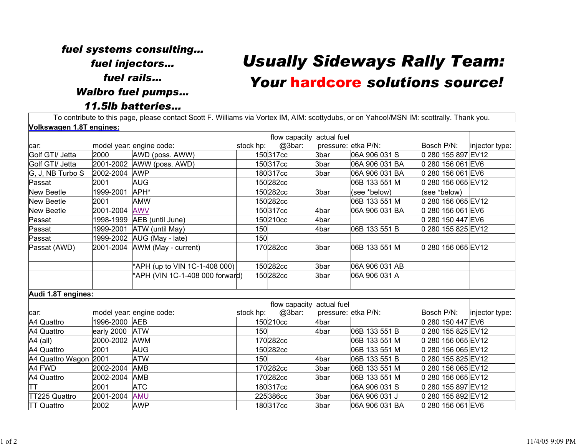## *fuel systems consulting… fuel injectors… fuel rails…Walbro fuel pumps… 11.5lb batteries…*

## *Usually Sideways Rally Team: Your* hardcore *solutions source!*

To contribute to this page, please contact Scott F. Williams via Vortex IM, AIM: scottydubs, or on Yahoo!/MSN IM: scottrally. Thank you. **Volkswagen 1.8T engines:**

| <u>VOINSWAYEN 1.01 ENYINES.</u> |                |                                |           |                           |                     |                |                    |                |
|---------------------------------|----------------|--------------------------------|-----------|---------------------------|---------------------|----------------|--------------------|----------------|
|                                 |                |                                |           | flow capacity actual fuel |                     |                |                    |                |
| car:                            |                | model year: engine code:       | stock hp: | @3bar:                    | pressure: etka P/N: |                | Bosch P/N:         | injector type: |
| Golf GTI/ Jetta                 | 2000           | AWD (poss. AWW)                |           | 150317cc                  | 3bar                | 06A 906 031 S  | 0 280 155 897 EV12 |                |
| Golf GTI/ Jetta                 |                | 2001-2002 AWW (poss. AWD)      |           | 150317cc                  | 3bar                | 06A 906 031 BA | 0 280 156 061 EV6  |                |
| G, J, NB Turbo S                | 2002-2004 AWP  |                                |           | 180317cc                  | 3bar                | 06A 906 031 BA | 0 280 156 061 EV6  |                |
| Passat                          | 2001           | <b>AUG</b>                     |           | 150282cc                  |                     | 06B 133 551 M  | 0 280 156 065 EV12 |                |
| <b>New Beetle</b>               | 1999-2001      | APH*                           |           | 150282cc                  | 3bar                | (see *below)   | (see *below)       |                |
| <b>New Beetle</b>               | 2001           | <b>AMW</b>                     |           | 150282cc                  |                     | 06B 133 551 M  | 0 280 156 065 EV12 |                |
| <b>New Beetle</b>               | 2001-2004 AWV  |                                |           | 150317cc                  | 4bar                | 06A 906 031 BA | 0 280 156 061 EV6  |                |
| Passat                          |                | 1998-1999 AEB (until June)     |           | 150210cc                  | 4bar                |                | 0 280 150 447 EV6  |                |
| Passat                          | 1999-2001      | ATW (until May)                | 150       |                           | 4bar                | 06B 133 551 B  | 0 280 155 825 EV12 |                |
| Passat                          |                | 1999-2002 AUG (May - late)     | 150       |                           |                     |                |                    |                |
| Passat (AWD)                    |                | 2001-2004 AWM (May - current)  |           | 170282cc                  | 3bar                | 06B 133 551 M  | 0 280 156 065 EV12 |                |
|                                 |                |                                |           |                           |                     |                |                    |                |
|                                 |                | *APH (up to VIN 1C-1-408 000)  |           | 150282cc                  | 3bar                | 06A 906 031 AB |                    |                |
|                                 |                | APH (VIN 1C-1-408 000 forward) |           | 150282cc                  | 3bar                | 06A 906 031 A  |                    |                |
|                                 |                |                                |           |                           |                     |                |                    |                |
| Audi 1.8T engines:              |                |                                |           |                           |                     |                |                    |                |
|                                 |                |                                |           | flow capacity actual fuel |                     |                |                    |                |
| car:                            |                | model year: engine code:       | stock hp: | @3bar:                    | pressure: etka P/N: |                | Bosch P/N:         | injector type: |
| A4 Quattro                      | 1996-2000 AEB  |                                |           | 150210cc                  | 4bar                |                | 0 280 150 447 EV6  |                |
| A4 Quattro                      | early 2000 ATW |                                | 150       |                           | 4bar                | 06B 133 551 B  | 0 280 155 825 EV12 |                |
| A4 (all)                        | 2000-2002 AWM  |                                |           | 170282cc                  |                     | 06B 133 551 M  | 0 280 156 065 EV12 |                |
| A4 Quattro                      | 2001           | <b>AUG</b>                     |           | 150282cc                  |                     | 06B 133 551 M  | 0 280 156 065 EV12 |                |
| A4 Quattro Wagon 2001           |                | <b>ATW</b>                     | 150       |                           | 4bar                | 06B 133 551 B  | 0 280 155 825 EV12 |                |
| A4 FWD                          | 2002-2004      | <b>AMB</b>                     |           | 170282cc                  | 3bar                | 06B 133 551 M  | 0 280 156 065 EV12 |                |
| A4 Quattro                      | 2002-2004      | AMB                            |           | 170282cc                  | 3bar                | 06B 133 551 M  | 0 280 156 065 EV12 |                |
| IΤΤ                             | 2001           | <b>ATC</b>                     |           | 180317cc                  |                     | 06A 906 031 S  | 0 280 155 897 EV12 |                |
| TT225 Quattro                   | 2001-2004      | <b>AMU</b>                     |           | 225386cc                  | 3bar                | 06A 906 031 J  | 0 280 155 892 EV12 |                |
| <b>TT Quattro</b>               | 2002           | <b>AWP</b>                     |           | 180317cc                  | 3bar                | 06A 906 031 BA | 0 280 156 061 EV6  |                |